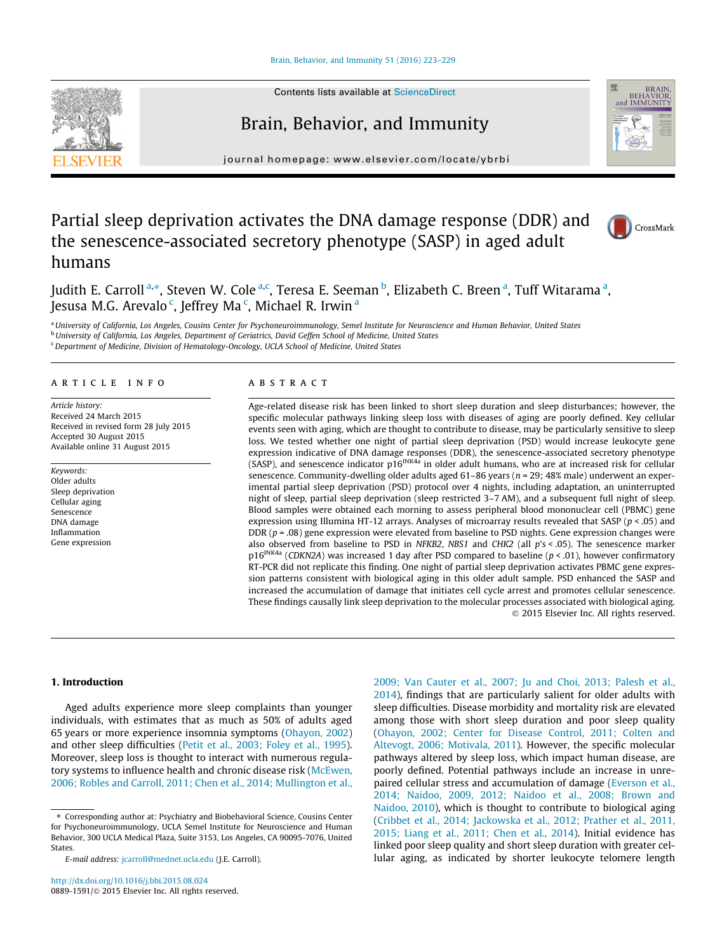Brain, Behavior, and Immunity 51 (2016) 223–229



# Brain, Behavior, and Immunity



journal homepage: www.elsevier.com/locate/ybrbi

# Partial sleep deprivation activates the DNA damage response (DDR) and the senescence-associated secretory phenotype (SASP) in aged adult humans



Judith E. Carroll <sup>a,</sup>\*, Steven W. Cole <sup>a,c</sup>, Teresa E. Seeman <sup>b</sup>, Elizabeth C. Breen <sup>a</sup>, Tuff Witarama <sup>a</sup>, Jesusa M.G. Arevalo <sup>c</sup>, Jeffrey Ma <sup>c</sup>, Michael R. Irwin <sup>a</sup>

a University of California, Los Angeles, Cousins Center for Psychoneuroimmunology, Semel Institute for Neuroscience and Human Behavior, United States **b** University of California, Los Angeles, Department of Geriatrics, David Geffen School of Medicine, United States <sup>c</sup>Department of Medicine, Division of Hematology-Oncology, UCLA School of Medicine, United States

#### article info

Article history: Received 24 March 2015 Received in revised form 28 July 2015 Accepted 30 August 2015 Available online 31 August 2015

Keywords: Older adults Sleep deprivation Cellular aging Senescence DNA damage Inflammation Gene expression

#### ABSTRACT

Age-related disease risk has been linked to short sleep duration and sleep disturbances; however, the specific molecular pathways linking sleep loss with diseases of aging are poorly defined. Key cellular events seen with aging, which are thought to contribute to disease, may be particularly sensitive to sleep loss. We tested whether one night of partial sleep deprivation (PSD) would increase leukocyte gene expression indicative of DNA damage responses (DDR), the senescence-associated secretory phenotype (SASP), and senescence indicator  $p16^{INKA}$  in older adult humans, who are at increased risk for cellular senescence. Community-dwelling older adults aged  $61-86$  years ( $n = 29$ ; 48% male) underwent an experimental partial sleep deprivation (PSD) protocol over 4 nights, including adaptation, an uninterrupted night of sleep, partial sleep deprivation (sleep restricted 3–7 AM), and a subsequent full night of sleep. Blood samples were obtained each morning to assess peripheral blood mononuclear cell (PBMC) gene expression using Illumina HT-12 arrays. Analyses of microarray results revealed that SASP ( $p < .05$ ) and DDR  $(p = .08)$  gene expression were elevated from baseline to PSD nights. Gene expression changes were also observed from baseline to PSD in NFKB2, NBS1 and CHK2 (all p's < .05). The senescence marker  $p16^{INKA}$  (CDKN2A) was increased 1 day after PSD compared to baseline ( $p < .01$ ), however confirmatory RT-PCR did not replicate this finding. One night of partial sleep deprivation activates PBMC gene expression patterns consistent with biological aging in this older adult sample. PSD enhanced the SASP and increased the accumulation of damage that initiates cell cycle arrest and promotes cellular senescence. These findings causally link sleep deprivation to the molecular processes associated with biological aging. 2015 Elsevier Inc. All rights reserved.

## 1. Introduction

Aged adults experience more sleep complaints than younger individuals, with estimates that as much as 50% of adults aged 65 years or more experience insomnia symptoms (Ohayon, 2002) and other sleep difficulties (Petit et al., 2003; Foley et al., 1995). Moreover, sleep loss is thought to interact with numerous regulatory systems to influence health and chronic disease risk (McEwen, 2006; Robles and Carroll, 2011; Chen et al., 2014; Mullington et al., 2009; Van Cauter et al., 2007; Ju and Choi, 2013; Palesh et al., 2014), findings that are particularly salient for older adults with sleep difficulties. Disease morbidity and mortality risk are elevated among those with short sleep duration and poor sleep quality (Ohayon, 2002; Center for Disease Control, 2011; Colten and Altevogt, 2006; Motivala, 2011). However, the specific molecular pathways altered by sleep loss, which impact human disease, are poorly defined. Potential pathways include an increase in unrepaired cellular stress and accumulation of damage (Everson et al., 2014; Naidoo, 2009, 2012; Naidoo et al., 2008; Brown and Naidoo, 2010), which is thought to contribute to biological aging (Cribbet et al., 2014; Jackowska et al., 2012; Prather et al., 2011, 2015; Liang et al., 2011; Chen et al., 2014). Initial evidence has linked poor sleep quality and short sleep duration with greater cellular aging, as indicated by shorter leukocyte telomere length

<sup>⇑</sup> Corresponding author at: Psychiatry and Biobehavioral Science, Cousins Center for Psychoneuroimmunology, UCLA Semel Institute for Neuroscience and Human Behavior, 300 UCLA Medical Plaza, Suite 3153, Los Angeles, CA 90095-7076, United States.

E-mail address: jcarroll@mednet.ucla.edu (J.E. Carroll).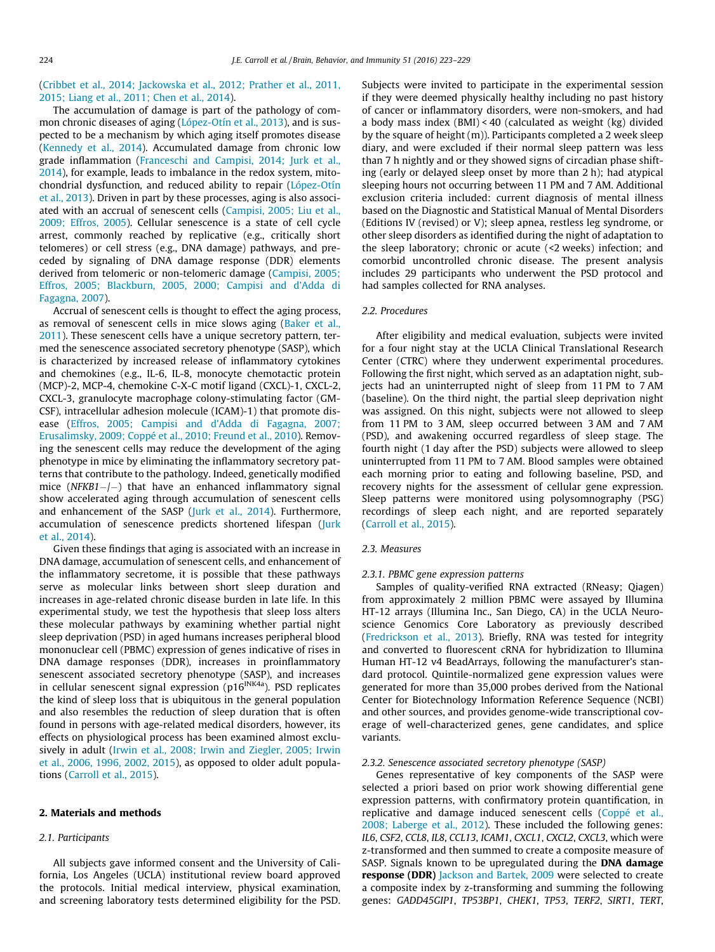(Cribbet et al., 2014; Jackowska et al., 2012; Prather et al., 2011, 2015; Liang et al., 2011; Chen et al., 2014).

The accumulation of damage is part of the pathology of common chronic diseases of aging (López-Otín et al., 2013), and is suspected to be a mechanism by which aging itself promotes disease (Kennedy et al., 2014). Accumulated damage from chronic low grade inflammation (Franceschi and Campisi, 2014; Jurk et al., 2014), for example, leads to imbalance in the redox system, mitochondrial dysfunction, and reduced ability to repair (López-Otín et al., 2013). Driven in part by these processes, aging is also associated with an accrual of senescent cells (Campisi, 2005; Liu et al., 2009; Effros, 2005). Cellular senescence is a state of cell cycle arrest, commonly reached by replicative (e.g., critically short telomeres) or cell stress (e.g., DNA damage) pathways, and preceded by signaling of DNA damage response (DDR) elements derived from telomeric or non-telomeric damage (Campisi, 2005; Effros, 2005; Blackburn, 2005, 2000; Campisi and d'Adda di Fagagna, 2007).

Accrual of senescent cells is thought to effect the aging process, as removal of senescent cells in mice slows aging (Baker et al., 2011). These senescent cells have a unique secretory pattern, termed the senescence associated secretory phenotype (SASP), which is characterized by increased release of inflammatory cytokines and chemokines (e.g., IL-6, IL-8, monocyte chemotactic protein (MCP)-2, MCP-4, chemokine C-X-C motif ligand (CXCL)-1, CXCL-2, CXCL-3, granulocyte macrophage colony-stimulating factor (GM-CSF), intracellular adhesion molecule (ICAM)-1) that promote disease (Effros, 2005; Campisi and d'Adda di Fagagna, 2007; Erusalimsky, 2009; Coppé et al., 2010; Freund et al., 2010). Removing the senescent cells may reduce the development of the aging phenotype in mice by eliminating the inflammatory secretory patterns that contribute to the pathology. Indeed, genetically modified mice ( $NFKB1-/-$ ) that have an enhanced inflammatory signal show accelerated aging through accumulation of senescent cells and enhancement of the SASP (Jurk et al., 2014). Furthermore, accumulation of senescence predicts shortened lifespan (Jurk et al., 2014).

Given these findings that aging is associated with an increase in DNA damage, accumulation of senescent cells, and enhancement of the inflammatory secretome, it is possible that these pathways serve as molecular links between short sleep duration and increases in age-related chronic disease burden in late life. In this experimental study, we test the hypothesis that sleep loss alters these molecular pathways by examining whether partial night sleep deprivation (PSD) in aged humans increases peripheral blood mononuclear cell (PBMC) expression of genes indicative of rises in DNA damage responses (DDR), increases in proinflammatory senescent associated secretory phenotype (SASP), and increases in cellular senescent signal expression ( $p16^{INKA}$ a). PSD replicates the kind of sleep loss that is ubiquitous in the general population and also resembles the reduction of sleep duration that is often found in persons with age-related medical disorders, however, its effects on physiological process has been examined almost exclusively in adult (Irwin et al., 2008; Irwin and Ziegler, 2005; Irwin et al., 2006, 1996, 2002, 2015), as opposed to older adult populations (Carroll et al., 2015).

#### 2. Materials and methods

## 2.1. Participants

All subjects gave informed consent and the University of California, Los Angeles (UCLA) institutional review board approved the protocols. Initial medical interview, physical examination, and screening laboratory tests determined eligibility for the PSD.

Subjects were invited to participate in the experimental session if they were deemed physically healthy including no past history of cancer or inflammatory disorders, were non-smokers, and had a body mass index (BMI) < 40 (calculated as weight (kg) divided by the square of height (m)). Participants completed a 2 week sleep diary, and were excluded if their normal sleep pattern was less than 7 h nightly and or they showed signs of circadian phase shifting (early or delayed sleep onset by more than 2 h); had atypical sleeping hours not occurring between 11 PM and 7 AM. Additional exclusion criteria included: current diagnosis of mental illness based on the Diagnostic and Statistical Manual of Mental Disorders (Editions IV (revised) or V); sleep apnea, restless leg syndrome, or other sleep disorders as identified during the night of adaptation to the sleep laboratory; chronic or acute (<2 weeks) infection; and comorbid uncontrolled chronic disease. The present analysis includes 29 participants who underwent the PSD protocol and had samples collected for RNA analyses.

#### 2.2. Procedures

After eligibility and medical evaluation, subjects were invited for a four night stay at the UCLA Clinical Translational Research Center (CTRC) where they underwent experimental procedures. Following the first night, which served as an adaptation night, subjects had an uninterrupted night of sleep from 11 PM to 7 AM (baseline). On the third night, the partial sleep deprivation night was assigned. On this night, subjects were not allowed to sleep from 11 PM to 3 AM, sleep occurred between 3 AM and 7 AM (PSD), and awakening occurred regardless of sleep stage. The fourth night (1 day after the PSD) subjects were allowed to sleep uninterrupted from 11 PM to 7 AM. Blood samples were obtained each morning prior to eating and following baseline, PSD, and recovery nights for the assessment of cellular gene expression. Sleep patterns were monitored using polysomnography (PSG) recordings of sleep each night, and are reported separately (Carroll et al., 2015).

#### 2.3. Measures

#### 2.3.1. PBMC gene expression patterns

Samples of quality-verified RNA extracted (RNeasy; Qiagen) from approximately 2 million PBMC were assayed by Illumina HT-12 arrays (Illumina Inc., San Diego, CA) in the UCLA Neuroscience Genomics Core Laboratory as previously described (Fredrickson et al., 2013). Briefly, RNA was tested for integrity and converted to fluorescent cRNA for hybridization to Illumina Human HT-12 v4 BeadArrays, following the manufacturer's standard protocol. Quintile-normalized gene expression values were generated for more than 35,000 probes derived from the National Center for Biotechnology Information Reference Sequence (NCBI) and other sources, and provides genome-wide transcriptional coverage of well-characterized genes, gene candidates, and splice variants.

#### 2.3.2. Senescence associated secretory phenotype (SASP)

Genes representative of key components of the SASP were selected a priori based on prior work showing differential gene expression patterns, with confirmatory protein quantification, in replicative and damage induced senescent cells (Coppé et al., 2008; Laberge et al., 2012). These included the following genes: IL6, CSF2, CCL8, IL8, CCL13, ICAM1, CXCL1, CXCL2, CXCL3, which were z-transformed and then summed to create a composite measure of SASP. Signals known to be upregulated during the DNA damage response (DDR) Jackson and Bartek, 2009 were selected to create a composite index by z-transforming and summing the following genes: GADD45GIP1, TP53BP1, CHEK1, TP53, TERF2, SIRT1, TERT,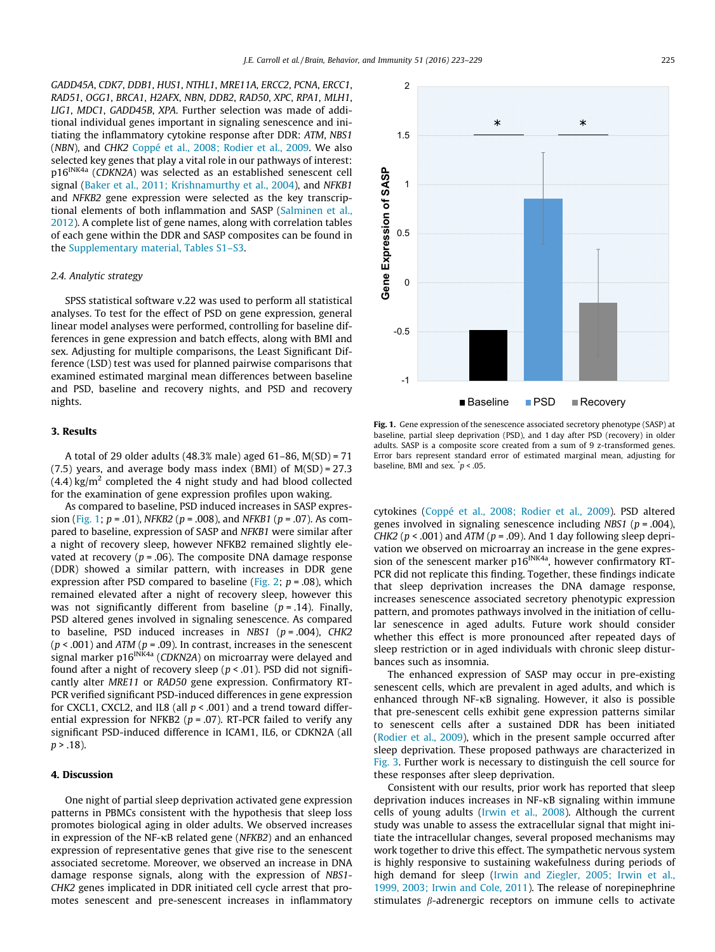GADD45A, CDK7, DDB1, HUS1, NTHL1, MRE11A, ERCC2, PCNA, ERCC1, RAD51, OGG1, BRCA1, H2AFX, NBN, DDB2, RAD50, XPC, RPA1, MLH1, LIG1, MDC1, GADD45B, XPA. Further selection was made of additional individual genes important in signaling senescence and initiating the inflammatory cytokine response after DDR: ATM, NBS1 (NBN), and CHK2 Coppé et al., 2008; Rodier et al., 2009. We also selected key genes that play a vital role in our pathways of interest: p16INK4a (CDKN2A) was selected as an established senescent cell signal (Baker et al., 2011; Krishnamurthy et al., 2004), and NFKB1 and NFKB2 gene expression were selected as the key transcriptional elements of both inflammation and SASP (Salminen et al., 2012). A complete list of gene names, along with correlation tables of each gene within the DDR and SASP composites can be found in the Supplementary material, Tables S1–S3.

#### 2.4. Analytic strategy

SPSS statistical software v.22 was used to perform all statistical analyses. To test for the effect of PSD on gene expression, general linear model analyses were performed, controlling for baseline differences in gene expression and batch effects, along with BMI and sex. Adjusting for multiple comparisons, the Least Significant Difference (LSD) test was used for planned pairwise comparisons that examined estimated marginal mean differences between baseline and PSD, baseline and recovery nights, and PSD and recovery nights.

## 3. Results

A total of 29 older adults (48.3% male) aged 61–86, M(SD) = 71  $(7.5)$  years, and average body mass index (BMI) of  $M(SD) = 27.3$  $(4.4)$  kg/m<sup>2</sup> completed the 4 night study and had blood collected for the examination of gene expression profiles upon waking.

As compared to baseline, PSD induced increases in SASP expression (Fig. 1;  $p = .01$ ), NFKB2 ( $p = .008$ ), and NFKB1 ( $p = .07$ ). As compared to baseline, expression of SASP and NFKB1 were similar after a night of recovery sleep, however NFKB2 remained slightly elevated at recovery ( $p = .06$ ). The composite DNA damage response (DDR) showed a similar pattern, with increases in DDR gene expression after PSD compared to baseline (Fig. 2;  $p = .08$ ), which remained elevated after a night of recovery sleep, however this was not significantly different from baseline  $(p = .14)$ . Finally, PSD altered genes involved in signaling senescence. As compared to baseline, PSD induced increases in NBS1 ( $p = .004$ ), CHK2  $(p < .001)$  and ATM  $(p = .09)$ . In contrast, increases in the senescent signal marker  $p16^{INK4a}$  (CDKN2A) on microarray were delayed and found after a night of recovery sleep ( $p < .01$ ). PSD did not significantly alter MRE11 or RAD50 gene expression. Confirmatory RT-PCR verified significant PSD-induced differences in gene expression for CXCL1, CXCL2, and IL8 (all  $p < .001$ ) and a trend toward differential expression for NFKB2 ( $p = .07$ ). RT-PCR failed to verify any significant PSD-induced difference in ICAM1, IL6, or CDKN2A (all  $p > .18$ ).

## 4. Discussion

One night of partial sleep deprivation activated gene expression patterns in PBMCs consistent with the hypothesis that sleep loss promotes biological aging in older adults. We observed increases in expression of the NF- $\kappa$ B related gene (NFKB2) and an enhanced expression of representative genes that give rise to the senescent associated secretome. Moreover, we observed an increase in DNA damage response signals, along with the expression of NBS1- CHK2 genes implicated in DDR initiated cell cycle arrest that promotes senescent and pre-senescent increases in inflammatory



Fig. 1. Gene expression of the senescence associated secretory phenotype (SASP) at baseline, partial sleep deprivation (PSD), and 1 day after PSD (recovery) in older adults. SASP is a composite score created from a sum of 9 z-transformed genes. Error bars represent standard error of estimated marginal mean, adjusting for baseline, BMI and sex.  $\dot{p}$  < .05.

cytokines (Coppé et al., 2008; Rodier et al., 2009). PSD altered genes involved in signaling senescence including NBS1 ( $p = .004$ ), CHK2 ( $p < .001$ ) and ATM ( $p = .09$ ). And 1 day following sleep deprivation we observed on microarray an increase in the gene expression of the senescent marker  $p16^{INK4a}$ , however confirmatory RT-PCR did not replicate this finding. Together, these findings indicate that sleep deprivation increases the DNA damage response, increases senescence associated secretory phenotypic expression pattern, and promotes pathways involved in the initiation of cellular senescence in aged adults. Future work should consider whether this effect is more pronounced after repeated days of sleep restriction or in aged individuals with chronic sleep disturbances such as insomnia.

The enhanced expression of SASP may occur in pre-existing senescent cells, which are prevalent in aged adults, and which is enhanced through NF-KB signaling. However, it also is possible that pre-senescent cells exhibit gene expression patterns similar to senescent cells after a sustained DDR has been initiated (Rodier et al., 2009), which in the present sample occurred after sleep deprivation. These proposed pathways are characterized in Fig. 3. Further work is necessary to distinguish the cell source for these responses after sleep deprivation.

Consistent with our results, prior work has reported that sleep deprivation induces increases in  $NF$ - $\kappa$ B signaling within immune cells of young adults (Irwin et al., 2008). Although the current study was unable to assess the extracellular signal that might initiate the intracellular changes, several proposed mechanisms may work together to drive this effect. The sympathetic nervous system is highly responsive to sustaining wakefulness during periods of high demand for sleep (Irwin and Ziegler, 2005; Irwin et al., 1999, 2003; Irwin and Cole, 2011). The release of norepinephrine stimulates  $\beta$ -adrenergic receptors on immune cells to activate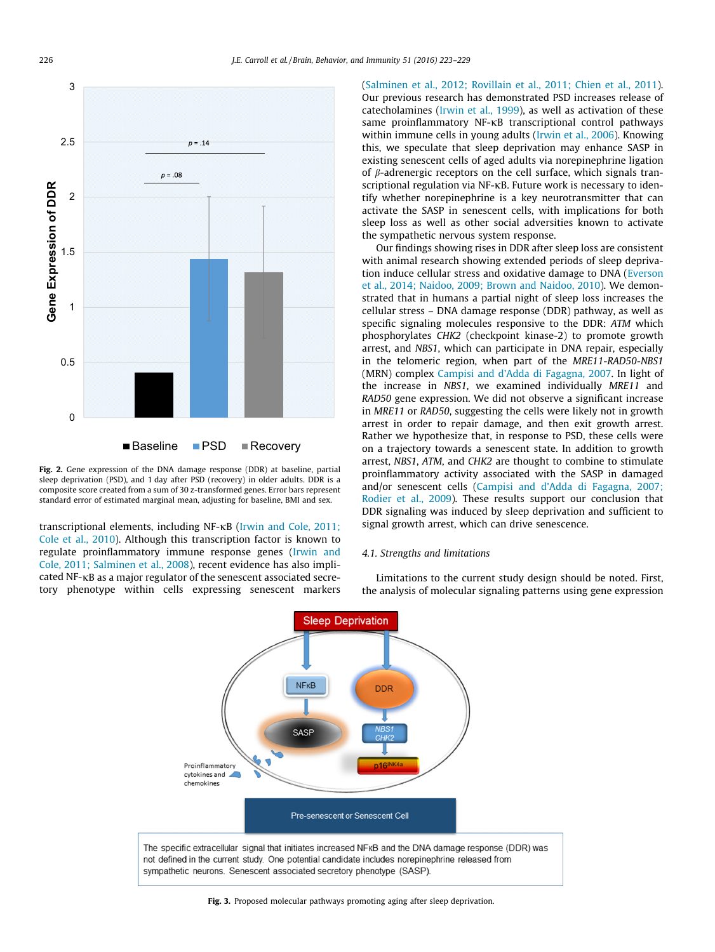

Fig. 2. Gene expression of the DNA damage response (DDR) at baseline, partial sleep deprivation (PSD), and 1 day after PSD (recovery) in older adults. DDR is a composite score created from a sum of 30 z-transformed genes. Error bars represent standard error of estimated marginal mean, adjusting for baseline, BMI and sex.

transcriptional elements, including NF-<sub>KB</sub> (Irwin and Cole, 2011; Cole et al., 2010). Although this transcription factor is known to regulate proinflammatory immune response genes (Irwin and Cole, 2011; Salminen et al., 2008), recent evidence has also implicated NF-KB as a major regulator of the senescent associated secretory phenotype within cells expressing senescent markers (Salminen et al., 2012; Rovillain et al., 2011; Chien et al., 2011). Our previous research has demonstrated PSD increases release of catecholamines (Irwin et al., 1999), as well as activation of these same proinflammatory  $NF$ - $KB$  transcriptional control pathways within immune cells in young adults (Irwin et al., 2006). Knowing this, we speculate that sleep deprivation may enhance SASP in existing senescent cells of aged adults via norepinephrine ligation of  $\beta$ -adrenergic receptors on the cell surface, which signals transcriptional regulation via NF-KB. Future work is necessary to identify whether norepinephrine is a key neurotransmitter that can activate the SASP in senescent cells, with implications for both sleep loss as well as other social adversities known to activate the sympathetic nervous system response.

Our findings showing rises in DDR after sleep loss are consistent with animal research showing extended periods of sleep deprivation induce cellular stress and oxidative damage to DNA (Everson et al., 2014; Naidoo, 2009; Brown and Naidoo, 2010). We demonstrated that in humans a partial night of sleep loss increases the cellular stress – DNA damage response (DDR) pathway, as well as specific signaling molecules responsive to the DDR: ATM which phosphorylates CHK2 (checkpoint kinase-2) to promote growth arrest, and NBS1, which can participate in DNA repair, especially in the telomeric region, when part of the MRE11-RAD50-NBS1 (MRN) complex Campisi and d'Adda di Fagagna, 2007. In light of the increase in NBS1, we examined individually MRE11 and RAD50 gene expression. We did not observe a significant increase in MRE11 or RAD50, suggesting the cells were likely not in growth arrest in order to repair damage, and then exit growth arrest. Rather we hypothesize that, in response to PSD, these cells were on a trajectory towards a senescent state. In addition to growth arrest, NBS1, ATM, and CHK2 are thought to combine to stimulate proinflammatory activity associated with the SASP in damaged and/or senescent cells (Campisi and d'Adda di Fagagna, 2007; Rodier et al., 2009). These results support our conclusion that DDR signaling was induced by sleep deprivation and sufficient to signal growth arrest, which can drive senescence.

## 4.1. Strengths and limitations

Limitations to the current study design should be noted. First, the analysis of molecular signaling patterns using gene expression



Fig. 3. Proposed molecular pathways promoting aging after sleep deprivation.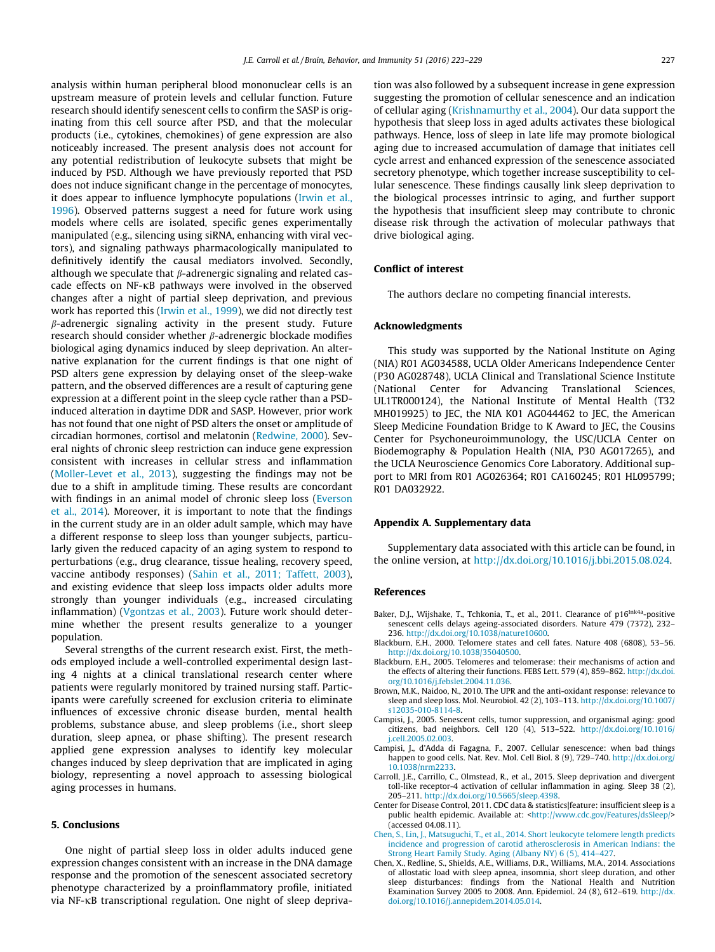analysis within human peripheral blood mononuclear cells is an upstream measure of protein levels and cellular function. Future research should identify senescent cells to confirm the SASP is originating from this cell source after PSD, and that the molecular products (i.e., cytokines, chemokines) of gene expression are also noticeably increased. The present analysis does not account for any potential redistribution of leukocyte subsets that might be induced by PSD. Although we have previously reported that PSD does not induce significant change in the percentage of monocytes, it does appear to influence lymphocyte populations (Irwin et al., 1996). Observed patterns suggest a need for future work using models where cells are isolated, specific genes experimentally manipulated (e.g., silencing using siRNA, enhancing with viral vectors), and signaling pathways pharmacologically manipulated to definitively identify the causal mediators involved. Secondly, although we speculate that  $\beta$ -adrenergic signaling and related cascade effects on NF- $\kappa$ B pathways were involved in the observed changes after a night of partial sleep deprivation, and previous work has reported this (Irwin et al., 1999), we did not directly test  $\beta$ -adrenergic signaling activity in the present study. Future research should consider whether  $\beta$ -adrenergic blockade modifies biological aging dynamics induced by sleep deprivation. An alternative explanation for the current findings is that one night of PSD alters gene expression by delaying onset of the sleep-wake pattern, and the observed differences are a result of capturing gene expression at a different point in the sleep cycle rather than a PSDinduced alteration in daytime DDR and SASP. However, prior work has not found that one night of PSD alters the onset or amplitude of circadian hormones, cortisol and melatonin (Redwine, 2000). Several nights of chronic sleep restriction can induce gene expression consistent with increases in cellular stress and inflammation (Moller-Levet et al., 2013), suggesting the findings may not be due to a shift in amplitude timing. These results are concordant with findings in an animal model of chronic sleep loss (Everson et al., 2014). Moreover, it is important to note that the findings in the current study are in an older adult sample, which may have a different response to sleep loss than younger subjects, particularly given the reduced capacity of an aging system to respond to perturbations (e.g., drug clearance, tissue healing, recovery speed, vaccine antibody responses) (Sahin et al., 2011; Taffett, 2003), and existing evidence that sleep loss impacts older adults more strongly than younger individuals (e.g., increased circulating inflammation) (Vgontzas et al., 2003). Future work should determine whether the present results generalize to a younger population.

Several strengths of the current research exist. First, the methods employed include a well-controlled experimental design lasting 4 nights at a clinical translational research center where patients were regularly monitored by trained nursing staff. Participants were carefully screened for exclusion criteria to eliminate influences of excessive chronic disease burden, mental health problems, substance abuse, and sleep problems (i.e., short sleep duration, sleep apnea, or phase shifting). The present research applied gene expression analyses to identify key molecular changes induced by sleep deprivation that are implicated in aging biology, representing a novel approach to assessing biological aging processes in humans.

### 5. Conclusions

One night of partial sleep loss in older adults induced gene expression changes consistent with an increase in the DNA damage response and the promotion of the senescent associated secretory phenotype characterized by a proinflammatory profile, initiated via NF-KB transcriptional regulation. One night of sleep deprivation was also followed by a subsequent increase in gene expression suggesting the promotion of cellular senescence and an indication of cellular aging (Krishnamurthy et al., 2004). Our data support the hypothesis that sleep loss in aged adults activates these biological pathways. Hence, loss of sleep in late life may promote biological aging due to increased accumulation of damage that initiates cell cycle arrest and enhanced expression of the senescence associated secretory phenotype, which together increase susceptibility to cellular senescence. These findings causally link sleep deprivation to the biological processes intrinsic to aging, and further support the hypothesis that insufficient sleep may contribute to chronic disease risk through the activation of molecular pathways that drive biological aging.

#### Conflict of interest

The authors declare no competing financial interests.

#### Acknowledgments

This study was supported by the National Institute on Aging (NIA) R01 AG034588, UCLA Older Americans Independence Center (P30 AG028748), UCLA Clinical and Translational Science Institute (National Center for Advancing Translational Sciences, UL1TR000124), the National Institute of Mental Health (T32 MH019925) to JEC, the NIA K01 AG044462 to JEC, the American Sleep Medicine Foundation Bridge to K Award to JEC, the Cousins Center for Psychoneuroimmunology, the USC/UCLA Center on Biodemography & Population Health (NIA, P30 AG017265), and the UCLA Neuroscience Genomics Core Laboratory. Additional support to MRI from R01 AG026364; R01 CA160245; R01 HL095799; R01 DA032922.

#### Appendix A. Supplementary data

Supplementary data associated with this article can be found, in the online version, at http://dx.doi.org/10.1016/j.bbi.2015.08.024.

### References

- Baker, D.J., Wijshake, T., Tchkonia, T., et al., 2011. Clearance of p16<sup>Ink4a</sup>-positive senescent cells delays ageing-associated disorders. Nature 479 (7372), 232– 236. http://dx.doi.org/10.1038/nature10600.
- Blackburn, E.H., 2000. Telomere states and cell fates. Nature 408 (6808), 53–56. http://dx.doi.org/10.1038/35040500.
- Blackburn, E.H., 2005. Telomeres and telomerase: their mechanisms of action and the effects of altering their functions. FEBS Lett. 579 (4), 859–862. http://dx.doi. org/10.1016/j.febslet.2004.11.036.
- Brown, M.K., Naidoo, N., 2010. The UPR and the anti-oxidant response: relevance to sleep and sleep loss. Mol. Neurobiol. 42 (2), 103–113. http://dx.doi.org/10.1007/ s12035-010-8114-8.
- Campisi, J., 2005. Senescent cells, tumor suppression, and organismal aging: good citizens, bad neighbors. Cell 120 (4), 513–522. http://dx.doi.org/10.1016/ j.cell.2005.02.003.
- Campisi, J., d'Adda di Fagagna, F., 2007. Cellular senescence: when bad things happen to good cells. Nat. Rev. Mol. Cell Biol. 8 (9), 729-740. http://dx.doi.org 10.1038/nrm2233.
- Carroll, J.E., Carrillo, C., Olmstead, R., et al., 2015. Sleep deprivation and divergent toll-like receptor-4 activation of cellular inflammation in aging. Sleep 38 (2), 205–211. http://dx.doi.org/10.5665/sleep.4398.
- Center for Disease Control, 2011. CDC data & statistics|feature: insufficient sleep is a public health epidemic. Available at: <http://www.cdc.gov/Features/dsSleep/> (accessed 04.08.11).
- Chen, S., Lin, J., Matsuguchi, T., et al., 2014. Short leukocyte telomere length predicts incidence and progression of carotid atherosclerosis in American Indians: the Strong Heart Family Study. Aging (Albany NY) 6 (5), 414–427.
- Chen, X., Redline, S., Shields, A.E., Williams, D.R., Williams, M.A., 2014. Associations of allostatic load with sleep apnea, insomnia, short sleep duration, and other sleep disturbances: findings from the National Health and Nutrition Examination Survey 2005 to 2008. Ann. Epidemiol. 24 (8), 612–619. http://dx. doi.org/10.1016/j.annepidem.2014.05.014.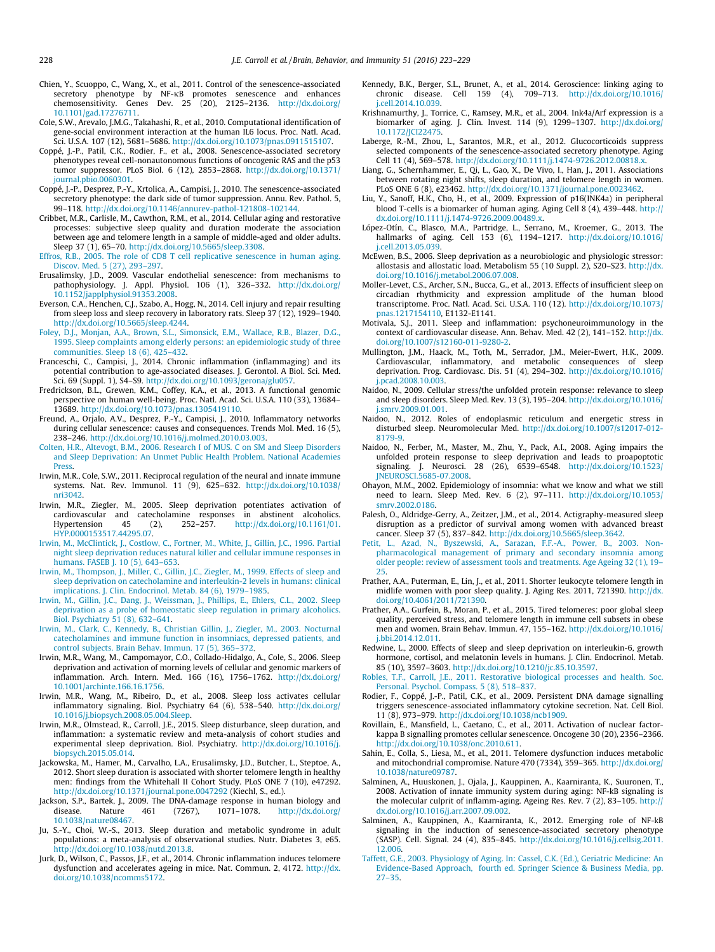- Chien, Y., Scuoppo, C., Wang, X., et al., 2011. Control of the senescence-associated secretory phenotype by NF-ĸB promotes senescence and enhances<br>chemosensitivity. Genes Dev. 25 (20), 2125–2136. http://dx.doi.org/ 10.1101/gad.17276711.
- Cole, S.W., Arevalo, J.M.G., Takahashi, R., et al., 2010. Computational identification of gene-social environment interaction at the human IL6 locus. Proc. Natl. Acad. Sci. U.S.A. 107 (12), 5681–5686. http://dx.doi.org/10.1073/pnas.0911515107.
- Coppé, J.-P., Patil, C.K., Rodier, F., et al., 2008. Senescence-associated secretory phenotypes reveal cell-nonautonomous functions of oncogenic RAS and the p53 tumor suppressor. PLoS Biol. 6 (12), 2853–2868. http://dx.doi.org/10.1371/ journal.pbio.0060301.
- Coppé, J.-P., Desprez, P.-Y., Krtolica, A., Campisi, J., 2010. The senescence-associated secretory phenotype: the dark side of tumor suppression. Annu. Rev. Pathol. 5, 99–118. http://dx.doi.org/10.1146/annurev-pathol-121808-102144.
- Cribbet, M.R., Carlisle, M., Cawthon, R.M., et al., 2014. Cellular aging and restorative processes: subjective sleep quality and duration moderate the association between age and telomere length in a sample of middle-aged and older adults. Sleep 37 (1), 65–70. http://dx.doi.org/10.5665/sleep.3308.
- Effros, R.B., 2005. The role of CD8 T cell replicative senescence in human aging. Discov. Med. 5 (27), 293–297.
- Erusalimsky, J.D., 2009. Vascular endothelial senescence: from mechanisms to pathophysiology. J. Appl. Physiol. 106 (1), 326–332. http://dx.doi.org/ 10.1152/japplphysiol.91353.2008.
- Everson, C.A., Henchen, C.J., Szabo, A., Hogg, N., 2014. Cell injury and repair resulting from sleep loss and sleep recovery in laboratory rats. Sleep 37 (12), 1929–1940. http://dx.doi.org/10.5665/sleep.4244.
- Foley, D.J., Monjan, A.A., Brown, S.L., Simonsick, E.M., Wallace, R.B., Blazer, D.G., 1995. Sleep complaints among elderly persons: an epidemiologic study of three communities. Sleep 18 (6), 425–432.
- Franceschi, C., Campisi, J., 2014. Chronic inflammation (inflammaging) and its potential contribution to age-associated diseases. J. Gerontol. A Biol. Sci. Med. Sci. 69 (Suppl. 1), S4–S9. http://dx.doi.org/10.1093/gerona/glu057.
- Fredrickson, B.L., Grewen, K.M., Coffey, K.A., et al., 2013. A functional genomic perspective on human well-being. Proc. Natl. Acad. Sci. U.S.A. 110 (33), 13684– 13689. http://dx.doi.org/10.1073/pnas.1305419110.
- Freund, A., Orjalo, A.V., Desprez, P.-Y., Campisi, J., 2010. Inflammatory networks during cellular senescence: causes and consequences. Trends Mol. Med. 16 (5), 238–246. http://dx.doi.org/10.1016/j.molmed.2010.03.003.
- Colten, H.R., Altevogt, B.M., 2006. Research I of MUS. C on SM and Sleep Disorders and Sleep Deprivation: An Unmet Public Health Problem. National Academies Press.
- Irwin, M.R., Cole, S.W., 2011. Reciprocal regulation of the neural and innate immune systems. Nat. Rev. Immunol. 11 (9), 625–632. http://dx.doi.org/10.1038/ nri3042.
- Irwin, M.R., Ziegler, M., 2005. Sleep deprivation potentiates activation of cardiovascular and catecholamine responses in abstinent alcoholics. Hypertension 45 (2), 252–257. http://dx.doi.org/10.1161/01. HYP.0000153517.44295.07.
- Irwin, M., McClintick, J., Costlow, C., Fortner, M., White, J., Gillin, J.C., 1996. Partial night sleep deprivation reduces natural killer and cellular immune responses in humans. FASEB J. 10 (5), 643–653.
- Irwin, M., Thompson, J., Miller, C., Gillin, J.C., Ziegler, M., 1999. Effects of sleep and sleep deprivation on catecholamine and interleukin-2 levels in humans: clinical implications. J. Clin. Endocrinol. Metab. 84 (6), 1979–1985.
- Irwin, M., Gillin, J.C., Dang, J., Weissman, J., Phillips, E., Ehlers, C.L., 2002. Sleep deprivation as a probe of homeostatic sleep regulation in primary alcoholics. Biol. Psychiatry 51 (8), 632–641.
- Irwin, M., Clark, C., Kennedy, B., Christian Gillin, J., Ziegler, M., 2003. Nocturnal catecholamines and immune function in insomniacs, depressed patients, and control subjects. Brain Behav. Immun. 17 (5), 365–372.
- Irwin, M.R., Wang, M., Campomayor, C.O., Collado-Hidalgo, A., Cole, S., 2006. Sleep deprivation and activation of morning levels of cellular and genomic markers of inflammation. Arch. Intern. Med. 166 (16), 1756–1762. http://dx.doi.org/ 10.1001/archinte.166.16.1756.
- Irwin, M.R., Wang, M., Ribeiro, D., et al., 2008. Sleep loss activates cellular inflammatory signaling. Biol. Psychiatry 64 (6), 538–540. http://dx.doi.org/ 10.1016/j.biopsych.2008.05.004.Sleep.
- Irwin, M.R., Olmstead, R., Carroll, J.E., 2015. Sleep disturbance, sleep duration, and inflammation: a systematic review and meta-analysis of cohort studies and experimental sleep deprivation. Biol. Psychiatry. http://dx.doi.org/10.1016/j. biopsych.2015.05.014.
- Jackowska, M., Hamer, M., Carvalho, L.A., Erusalimsky, J.D., Butcher, L., Steptoe, A., 2012. Short sleep duration is associated with shorter telomere length in healthy men: findings from the Whitehall II Cohort Study. PLoS ONE 7 (10), e47292. http://dx.doi.org/10.1371/journal.pone.0047292 (Kiechl, S., ed.).
- Jackson, S.P., Bartek, J., 2009. The DNA-damage response in human biology and disease. Nature 461 (7267), 1071–1078. http://dx.doi.org/ 10.1038/nature08467.
- Ju, S.-Y., Choi, W.-S., 2013. Sleep duration and metabolic syndrome in adult populations: a meta-analysis of observational studies. Nutr. Diabetes 3, e65. http://dx.doi.org/10.1038/nutd.2013.8.
- Jurk, D., Wilson, C., Passos, J.F., et al., 2014. Chronic inflammation induces telomere dysfunction and accelerates ageing in mice. Nat. Commun. 2, 4172. http://dx. doi.org/10.1038/ncomms5172.
- Kennedy, B.K., Berger, S.L., Brunet, A., et al., 2014. Geroscience: linking aging to chronic disease. Cell 159 (4), 709–713. http://dx.doi.org/10.1016/ j.cell.2014.10.039.
- Krishnamurthy, J., Torrice, C., Ramsey, M.R., et al., 2004. Ink4a/Arf expression is a biomarker of aging. J. Clin. Invest. 114 (9), 1299–1307. http://dx.doi.org/ 10.1172/JCI22475.
- Laberge, R.-M., Zhou, L., Sarantos, M.R., et al., 2012. Glucocorticoids suppress selected components of the senescence-associated secretory phenotype. Aging Cell 11 (4), 569–578. http://dx.doi.org/10.1111/j.1474-9726.2012.00818.x.
- Liang, G., Schernhammer, E., Qi, L., Gao, X., De Vivo, I., Han, J., 2011. Associations between rotating night shifts, sleep duration, and telomere length in women. PLoS ONE 6 (8), e23462. http://dx.doi.org/10.1371/journal.pone.0023462.
- Liu, Y., Sanoff, H.K., Cho, H., et al., 2009. Expression of p16(INK4a) in peripheral blood T-cells is a biomarker of human aging. Aging Cell 8 (4), 439–448. http:// dx.doi.org/10.1111/j.1474-9726.2009.00489.x.
- López-Otín, C., Blasco, M.A., Partridge, L., Serrano, M., Kroemer, G., 2013. The hallmarks of aging. Cell 153 (6), 1194–1217. http://dx.doi.org/10.1016/ j.cell.2013.05.039.
- McEwen, B.S., 2006. Sleep deprivation as a neurobiologic and physiologic stressor: allostasis and allostatic load. Metabolism 55 (10 Suppl. 2), S20–S23. http://dx. doi.org/10.1016/j.metabol.2006.07.008.
- Moller-Levet, C.S., Archer, S.N., Bucca, G., et al., 2013. Effects of insufficient sleep on circadian rhythmicity and expression amplitude of the human blood transcriptome. Proc. Natl. Acad. Sci. U.S.A. 110 (12). http://dx.doi.org/10.1073/ pnas.1217154110, E1132-E1141.
- Motivala, S.J., 2011. Sleep and inflammation: psychoneuroimmunology in the context of cardiovascular disease. Ann. Behav. Med. 42 (2), 141-152. http://dx. doi.org/10.1007/s12160-011-9280-2.
- Mullington, J.M., Haack, M., Toth, M., Serrador, J.M., Meier-Ewert, H.K., 2009. Cardiovascular, inflammatory, and metabolic consequences of sleep deprivation. Prog. Cardiovasc. Dis. 51 (4), 294–302. http://dx.doi.org/10.1016/ j.pcad.2008.10.003.
- Naidoo, N., 2009. Cellular stress/the unfolded protein response: relevance to sleep and sleep disorders. Sleep Med. Rev. 13 (3), 195–204. http://dx.doi.org/10.1016/ j.smrv.2009.01.001.
- Naidoo, N., 2012. Roles of endoplasmic reticulum and energetic stress in disturbed sleep. Neuromolecular Med. http://dx.doi.org/10.1007/s12017-012- 8179-9.
- Naidoo, N., Ferber, M., Master, M., Zhu, Y., Pack, A.I., 2008. Aging impairs the unfolded protein response to sleep deprivation and leads to proapoptotic signaling. J. Neurosci. 28 (26), 6539–6548. http://dx.doi.org/10.1523/ JNEUROSCI.5685-07.2008.
- Ohayon, M.M., 2002. Epidemiology of insomnia: what we know and what we still need to learn. Sleep Med. Rev. 6 (2), 97–111. http://dx.doi.org/10.1053/ smrv.2002.0186.
- Palesh, O., Aldridge-Gerry, A., Zeitzer, J.M., et al., 2014. Actigraphy-measured sleep disruption as a predictor of survival among women with advanced breast cancer. Sleep 37 (5), 837–842. http://dx.doi.org/10.5665/sleep.3642.
- Petit, L., Azad, N., Byszewski, A., Sarazan, F.F.-A., Power, B., 2003. Nonpharmacological management of primary and secondary insomnia among older people: review of assessment tools and treatments. Age Ageing 32 (1), 19– 25.
- Prather, A.A., Puterman, E., Lin, J., et al., 2011. Shorter leukocyte telomere length in midlife women with poor sleep quality. J. Aging Res. 2011, 721390. http://dx. doi.org/10.4061/2011/721390.
- Prather, A.A., Gurfein, B., Moran, P., et al., 2015. Tired telomeres: poor global sleep quality, perceived stress, and telomere length in immune cell subsets in obese men and women. Brain Behav. Immun. 47, 155–162. http://dx.doi.org/10.1016/ j.bbi.2014.12.011.
- Redwine, L., 2000. Effects of sleep and sleep deprivation on interleukin-6, growth hormone, cortisol, and melatonin levels in humans. J. Clin. Endocrinol. Metab. 85 (10), 3597–3603. http://dx.doi.org/10.1210/jc.85.10.3597.
- Robles, T.F., Carroll, J.E., 2011. Restorative biological processes and health. Soc. Personal. Psychol. Compass. 5 (8), 518–837.
- Rodier, F., Coppé, J.-P., Patil, C.K., et al., 2009. Persistent DNA damage signalling triggers senescence-associated inflammatory cytokine secretion. Nat. Cell Biol. 11 (8), 973–979. http://dx.doi.org/10.1038/ncb1909.
- Rovillain, E., Mansfield, L., Caetano, C., et al., 2011. Activation of nuclear factorkappa B signalling promotes cellular senescence. Oncogene 30 (20), 2356–2366. http://dx.doi.org/10.1038/onc.2010.611.
- Sahin, E., Colla, S., Liesa, M., et al., 2011. Telomere dysfunction induces metabolic and mitochondrial compromise. Nature 470 (7334), 359–365. http://dx.doi.org/ 10.1038/nature09787.
- Salminen, A., Huuskonen, J., Ojala, J., Kauppinen, A., Kaarniranta, K., Suuronen, T., 2008. Activation of innate immunity system during aging: NF-kB signaling is the molecular culprit of inflamm-aging. Ageing Res. Rev. 7 (2), 83–105. http:// dx.doi.org/10.1016/j.arr.2007.09.002.
- Salminen, A., Kauppinen, A., Kaarniranta, K., 2012. Emerging role of NF-kB signaling in the induction of senescence-associated secretory phenotype (SASP). Cell. Signal. 24 (4), 835–845. http://dx.doi.org/10.1016/j.cellsig.2011. 12.006.
- Taffett, G.E., 2003. Physiology of Aging. In: Cassel, C.K. (Ed.), Geriatric Medicine: An Evidence-Based Approach, fourth ed. Springer Science & Business Media, pp. 27–35.